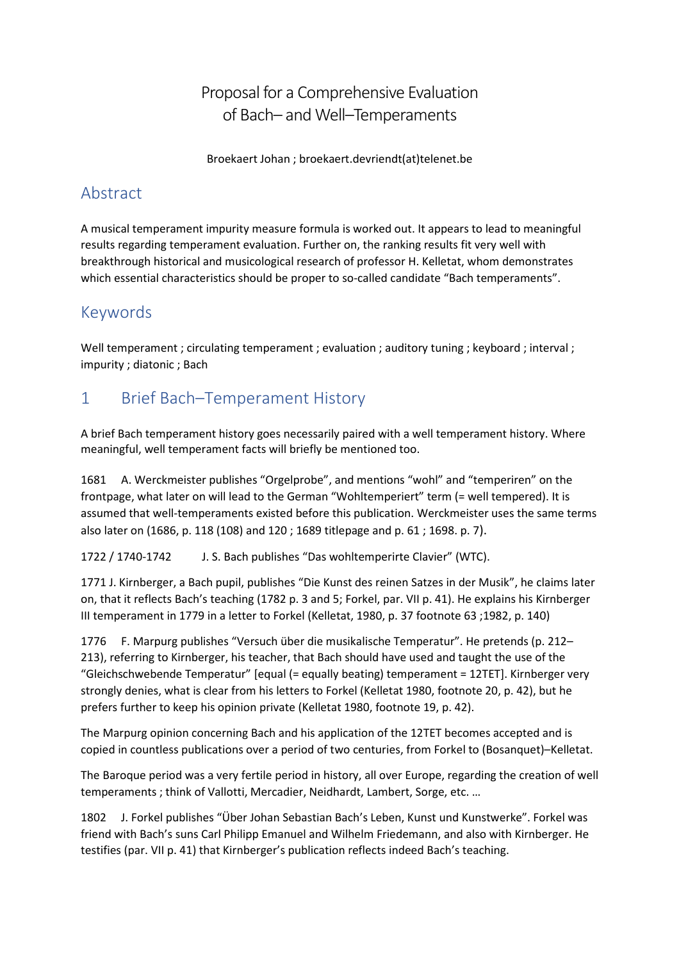Proposal for a Comprehensive Evaluation of Bach– and Well–Temperaments

Broekaert Johan ; broekaert.devriendt(at)telenet.be

# Abstract

A musical temperament impurity measure formula is worked out. It appears to lead to meaningful results regarding temperament evaluation. Further on, the ranking results fit very well with breakthrough historical and musicological research of professor H. Kelletat, whom demonstrates which essential characteristics should be proper to so-called candidate "Bach temperaments".

# Keywords

Well temperament ; circulating temperament ; evaluation ; auditory tuning ; keyboard ; interval ; impurity ; diatonic ; Bach

# 1 Brief Bach–Temperament History

A brief Bach temperament history goes necessarily paired with a well temperament history. Where meaningful, well temperament facts will briefly be mentioned too.

1681 A. Werckmeister publishes "Orgelprobe", and mentions "wohl" and "temperiren" on the frontpage, what later on will lead to the German "Wohltemperiert" term (= well tempered). It is assumed that well-temperaments existed before this publication. Werckmeister uses the same terms also later on (1686, p. 118 (108) and 120 ; 1689 titlepage and p. 61 ; 1698. p. 7).

1722 / 1740-1742 J. S. Bach publishes "Das wohltemperirte Clavier" (WTC).

1771 J. Kirnberger, a Bach pupil, publishes "Die Kunst des reinen Satzes in der Musik", he claims later on, that it reflects Bach's teaching (1782 p. 3 and 5; Forkel, par. VII p. 41). He explains his Kirnberger III temperament in 1779 in a letter to Forkel (Kelletat, 1980, p. 37 footnote 63 ;1982, p. 140)

1776 F. Marpurg publishes "Versuch über die musikalische Temperatur". He pretends (p. 212– 213), referring to Kirnberger, his teacher, that Bach should have used and taught the use of the "Gleichschwebende Temperatur" [equal (= equally beating) temperament = 12TET]. Kirnberger very strongly denies, what is clear from his letters to Forkel (Kelletat 1980, footnote 20, p. 42), but he prefers further to keep his opinion private (Kelletat 1980, footnote 19, p. 42).

The Marpurg opinion concerning Bach and his application of the 12TET becomes accepted and is copied in countless publications over a period of two centuries, from Forkel to (Bosanquet)–Kelletat.

The Baroque period was a very fertile period in history, all over Europe, regarding the creation of well temperaments ; think of Vallotti, Mercadier, Neidhardt, Lambert, Sorge, etc. …

1802 J. Forkel publishes "Über Johan Sebastian Bach's Leben, Kunst und Kunstwerke". Forkel was friend with Bach's suns Carl Philipp Emanuel and Wilhelm Friedemann, and also with Kirnberger. He testifies (par. VII p. 41) that Kirnberger's publication reflects indeed Bach's teaching.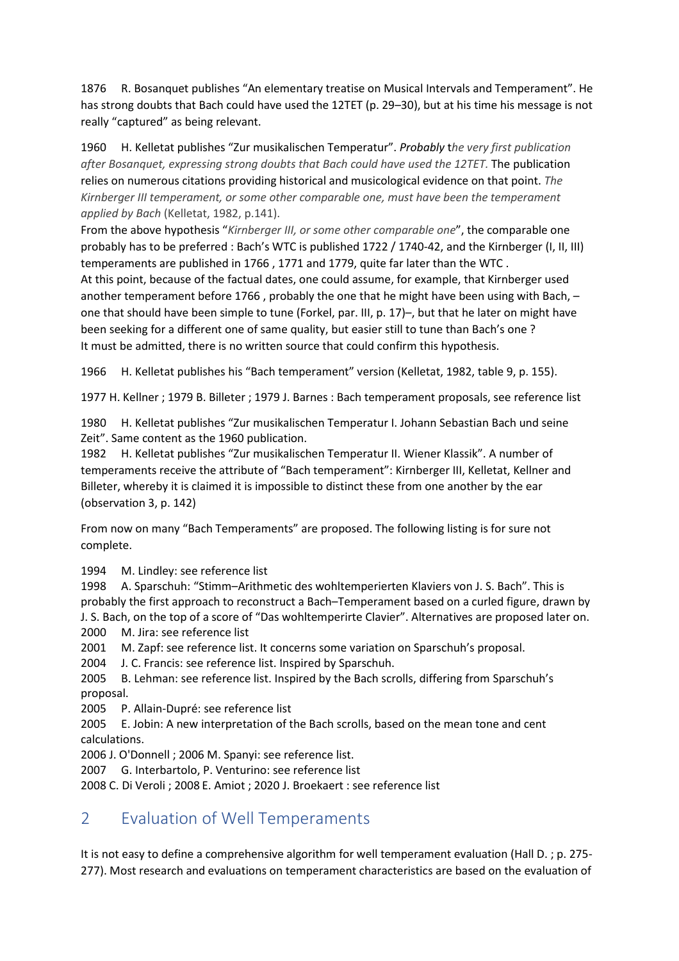1876 R. Bosanquet publishes "An elementary treatise on Musical Intervals and Temperament". He has strong doubts that Bach could have used the 12TET (p. 29-30), but at his time his message is not really "captured" as being relevant.

1960 H. Kelletat publishes "Zur musikalischen Temperatur". *Probably* t*he very first publication after Bosanquet, expressing strong doubts that Bach could have used the 12TET.* The publication relies on numerous citations providing historical and musicological evidence on that point. *The Kirnberger III temperament, or some other comparable one, must have been the temperament applied by Bach* (Kelletat, 1982, p.141).

From the above hypothesis "*Kirnberger III, or some other comparable one*", the comparable one probably has to be preferred : Bach's WTC is published 1722 / 1740-42, and the Kirnberger (I, II, III) temperaments are published in 1766 , 1771 and 1779, quite far later than the WTC .

At this point, because of the factual dates, one could assume, for example, that Kirnberger used another temperament before 1766 , probably the one that he might have been using with Bach, – one that should have been simple to tune (Forkel, par. III, p. 17)–, but that he later on might have been seeking for a different one of same quality, but easier still to tune than Bach's one ? It must be admitted, there is no written source that could confirm this hypothesis.

1966 H. Kelletat publishes his "Bach temperament" version (Kelletat, 1982, table 9, p. 155).

1977 H. Kellner ; 1979 B. Billeter ; 1979 J. Barnes : Bach temperament proposals, see reference list

1980 H. Kelletat publishes "Zur musikalischen Temperatur I. Johann Sebastian Bach und seine Zeit". Same content as the 1960 publication.

1982 H. Kelletat publishes "Zur musikalischen Temperatur II. Wiener Klassik". A number of temperaments receive the attribute of "Bach temperament": Kirnberger III, Kelletat, Kellner and Billeter, whereby it is claimed it is impossible to distinct these from one another by the ear (observation 3, p. 142)

From now on many "Bach Temperaments" are proposed. The following listing is for sure not complete.

1994 M. Lindley: see reference list

1998 A. Sparschuh: "Stimm–Arithmetic des wohltemperierten Klaviers von J. S. Bach". This is probably the first approach to reconstruct a Bach–Temperament based on a curled figure, drawn by J. S. Bach, on the top of a score of "Das wohltemperirte Clavier". Alternatives are proposed later on. 2000 M. Jira: see reference list

2001 M. Zapf: see reference list. It concerns some variation on Sparschuh's proposal.

2004 J. C. Francis: see reference list. Inspired by Sparschuh.

2005 B. Lehman: see reference list. Inspired by the Bach scrolls, differing from Sparschuh's proposal.

2005 P. Allain-Dupré: see reference list

2005 E. Jobin: A new interpretation of the Bach scrolls, based on the mean tone and cent calculations.

2006 J. O'Donnell ; 2006 M. Spanyi: see reference list.

2007 G. Interbartolo, P. Venturino: see reference list

2008 C. Di Veroli ; 2008 E. Amiot ; 2020 J. Broekaert : see reference list

## 2 Evaluation of Well Temperaments

It is not easy to define a comprehensive algorithm for well temperament evaluation (Hall D. ; p. 275- 277). Most research and evaluations on temperament characteristics are based on the evaluation of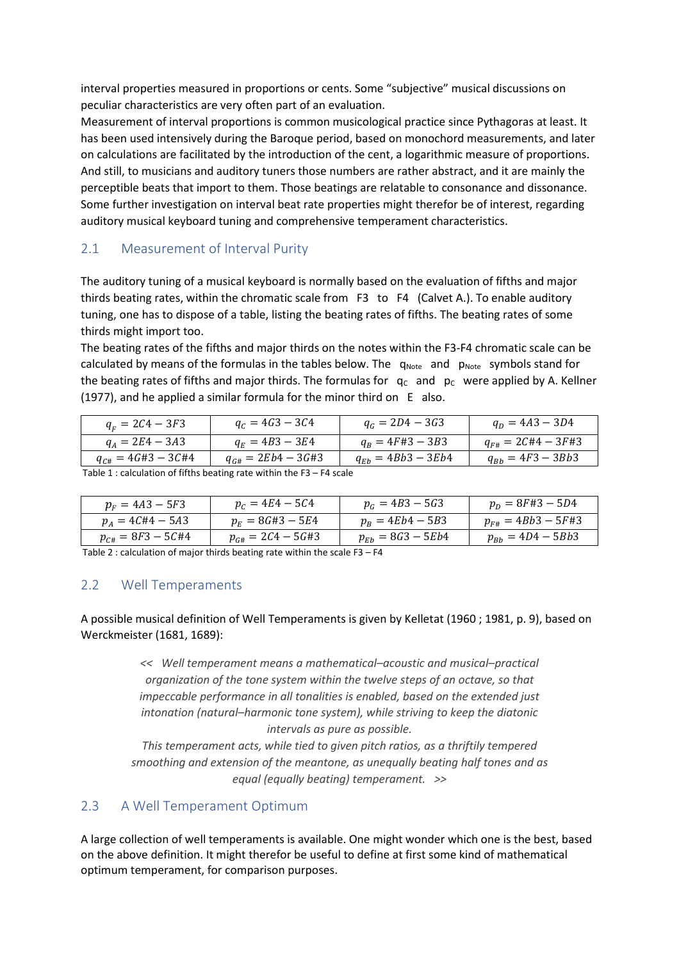interval properties measured in proportions or cents. Some "subjective" musical discussions on peculiar characteristics are very often part of an evaluation.

Measurement of interval proportions is common musicological practice since Pythagoras at least. It has been used intensively during the Baroque period, based on monochord measurements, and later on calculations are facilitated by the introduction of the cent, a logarithmic measure of proportions. And still, to musicians and auditory tuners those numbers are rather abstract, and it are mainly the perceptible beats that import to them. Those beatings are relatable to consonance and dissonance. Some further investigation on interval beat rate properties might therefor be of interest, regarding auditory musical keyboard tuning and comprehensive temperament characteristics.

### 2.1 Measurement of Interval Purity

The auditory tuning of a musical keyboard is normally based on the evaluation of fifths and major thirds beating rates, within the chromatic scale from F3 to F4 (Calvet A.). To enable auditory tuning, one has to dispose of a table, listing the beating rates of fifths. The beating rates of some thirds might import too.

The beating rates of the fifths and major thirds on the notes within the F3-F4 chromatic scale can be calculated by means of the formulas in the tables below. The  $q_{Note}$  and  $p_{Note}$  symbols stand for the beating rates of fifths and major thirds. The formulas for  $q_c$  and  $p_c$  were applied by A. Kellner (1977), and he applied a similar formula for the minor third on E also.

| $q_{F} = 2C4 - 3F3$       | $q_c = 4G3 - 3C4$        | $q_c = 2D4 - 3G3$      | $q_D = 4A3 - 3D4$         |
|---------------------------|--------------------------|------------------------|---------------------------|
| $q_A = 2E4 - 3A3$         | $q_E = 4B3 - 3E4$        | $q_B = 4F#3 - 3B3$     | $q_{F\#} = 2C\#4 - 3F\#3$ |
| $q_{C\#} = 4G\#3 - 3C\#4$ | $q_{G\#} = 2Eb4 - 3G\#3$ | $q_{Eb} = 4Bb3 - 3Eb4$ | $q_{Bb} = 4F3 - 3Bb3$     |

Table 1 : calculation of fifths beating rate within the F3 – F4 scale

| $p_F = 4A3 - 5F3$     | $p_c = 4E4 - 5C4$       | $p_G = 4B3 - 5G3$     | $p_p = 8F#3 - 5D4$     |
|-----------------------|-------------------------|-----------------------|------------------------|
| $p_A = 4C#4 - 5A3$    | $p_F = 8G#3 - 5E4$      | $p_R = 4Eb4 - 5B3$    | $p_{F#} = 4Bb3 - 5F#3$ |
| $p_{C#} = 8F3 - 5C#4$ | $p_{G\#} = 2C4 - 5G\#3$ | $p_{Eb} = 8G3 - 5Eb4$ | $p_{Bb} = 4D4 - 5Bb3$  |

Table 2 : calculation of major thirds beating rate within the scale  $F3 - F4$ 

#### 2.2 Well Temperaments

A possible musical definition of Well Temperaments is given by Kelletat (1960 ; 1981, p. 9), based on Werckmeister (1681, 1689):

> *<< Well temperament means a mathematical–acoustic and musical–practical organization of the tone system within the twelve steps of an octave, so that impeccable performance in all tonalities is enabled, based on the extended just intonation (natural–harmonic tone system), while striving to keep the diatonic intervals as pure as possible.*

*This temperament acts, while tied to given pitch ratios, as a thriftily tempered smoothing and extension of the meantone, as unequally beating half tones and as equal (equally beating) temperament. >>* 

#### 2.3 A Well Temperament Optimum

A large collection of well temperaments is available. One might wonder which one is the best, based on the above definition. It might therefor be useful to define at first some kind of mathematical optimum temperament, for comparison purposes.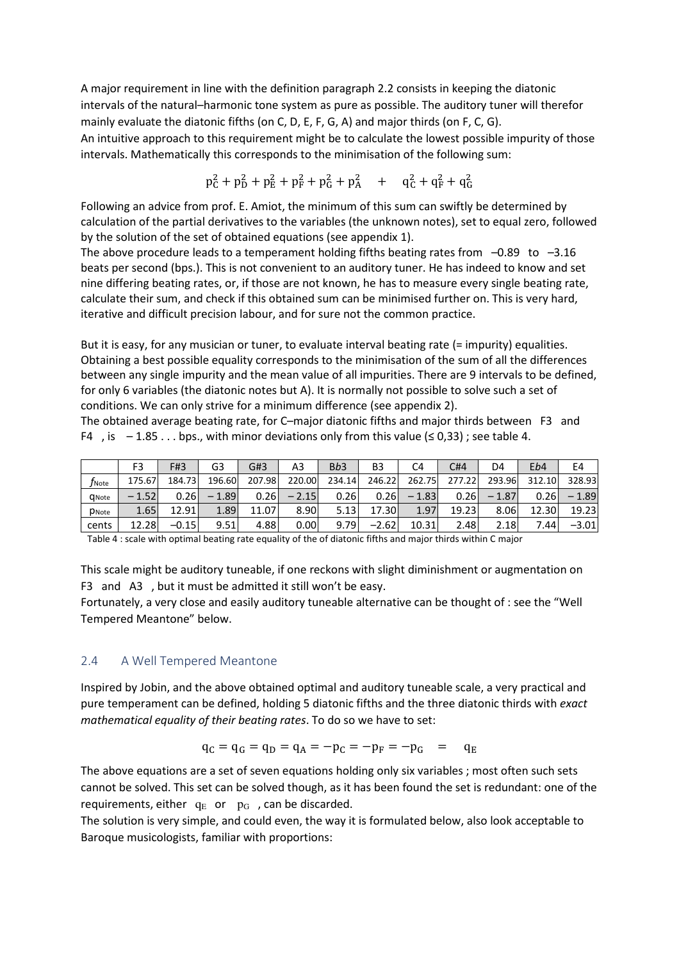A major requirement in line with the definition paragraph 2.2 consists in keeping the diatonic intervals of the natural–harmonic tone system as pure as possible. The auditory tuner will therefor mainly evaluate the diatonic fifths (on C, D, E, F, G, A) and major thirds (on F, C, G). An intuitive approach to this requirement might be to calculate the lowest possible impurity of those intervals. Mathematically this corresponds to the minimisation of the following sum:

$$
p_C^2 + p_D^2 + p_E^2 + p_F^2 + p_G^2 + p_A^2 + q_C^2 + q_F^2 + q_G^2
$$

Following an advice from prof. E. Amiot, the minimum of this sum can swiftly be determined by calculation of the partial derivatives to the variables (the unknown notes), set to equal zero, followed by the solution of the set of obtained equations (see appendix 1).

The above procedure leads to a temperament holding fifths beating rates from  $-0.89$  to  $-3.16$ beats per second (bps.). This is not convenient to an auditory tuner. He has indeed to know and set nine differing beating rates, or, if those are not known, he has to measure every single beating rate, calculate their sum, and check if this obtained sum can be minimised further on. This is very hard, iterative and difficult precision labour, and for sure not the common practice.

But it is easy, for any musician or tuner, to evaluate interval beating rate (= impurity) equalities. Obtaining a best possible equality corresponds to the minimisation of the sum of all the differences between any single impurity and the mean value of all impurities. There are 9 intervals to be defined, for only 6 variables (the diatonic notes but A). It is normally not possible to solve such a set of conditions. We can only strive for a minimum difference (see appendix 2).

The obtained average beating rate, for C–major diatonic fifths and major thirds between F3 and F4 , is  $-1.85...$  bps., with minor deviations only from this value ( $\leq 0.33$ ); see table 4.

|                   | F3      | F#3     | G3      | G#3    | A3      | B <sub>b</sub> 3 | B <sub>3</sub> | C4      | C#4    | D4      | Eb4    | E4      |
|-------------------|---------|---------|---------|--------|---------|------------------|----------------|---------|--------|---------|--------|---------|
| $f_{\text{Note}}$ | 175.67  | 184.73  | 196.60  | 207.98 | 220.00  | 234.14           | 246.22         | 262.75  | 277.22 | 293.96  | 312.10 | 328.93  |
| <b>Q</b> Note     | $-1.52$ | 0.26    | $-1.89$ | 0.26   | $-2.15$ | 0.26             | 0.26           | $-1.83$ | 0.26   | $-1.87$ | 0.26   | $-1.89$ |
| <b>P</b> Note     | 1.65    | 12.91   | 1.89    | 11.07  | 8.90    | 5.13             | 17.30          | 1.97    | 19.23  | 8.06    | 12.30  | 19.23   |
| cents             | 12.28   | $-0.15$ | 9.51    | 4.88   | 0.00    | 9.79             | $-2.62$        | 10.31   | 2.48   | 2.18    | 7.44   | $-3.01$ |

Table 4 : scale with optimal beating rate equality of the of diatonic fifths and major thirds within C major

This scale might be auditory tuneable, if one reckons with slight diminishment or augmentation on F3 and A3 , but it must be admitted it still won't be easy.

Fortunately, a very close and easily auditory tuneable alternative can be thought of : see the "Well Tempered Meantone" below.

#### 2.4 A Well Tempered Meantone

Inspired by Jobin, and the above obtained optimal and auditory tuneable scale, a very practical and pure temperament can be defined, holding 5 diatonic fifths and the three diatonic thirds with *exact mathematical equality of their beating rates*. To do so we have to set:

$$
q_C = q_G = q_D = q_A = -p_C = -p_F = -p_G = q_E
$$

The above equations are a set of seven equations holding only six variables ; most often such sets cannot be solved. This set can be solved though, as it has been found the set is redundant: one of the requirements, either  $q_E$  or  $p_G$ , can be discarded.

The solution is very simple, and could even, the way it is formulated below, also look acceptable to Baroque musicologists, familiar with proportions: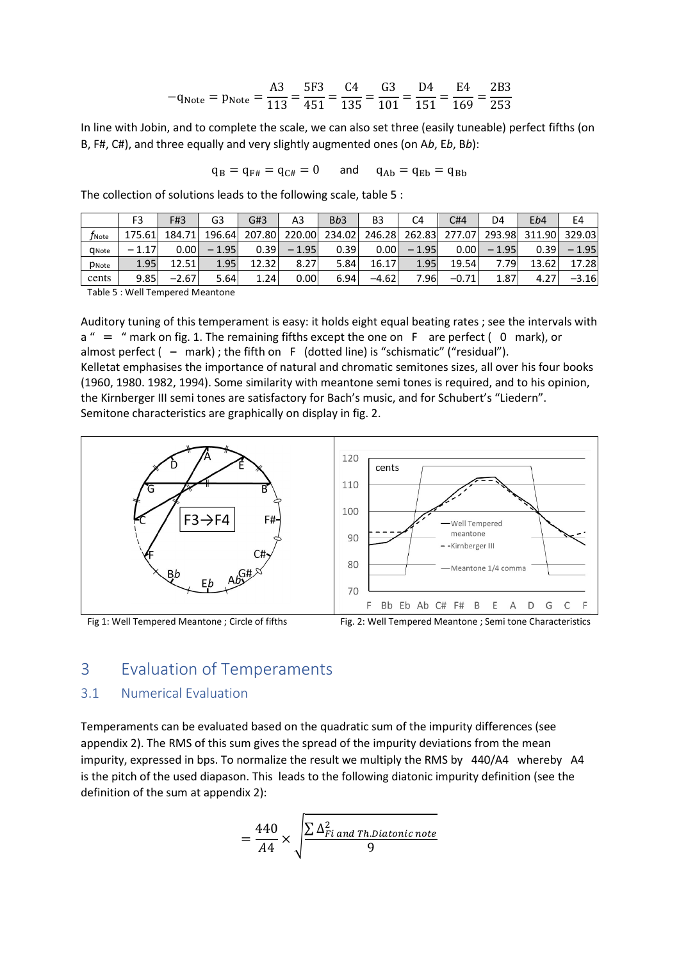$$
-q_{\text{Note}} = p_{\text{Note}} = \frac{A3}{113} = \frac{5F3}{451} = \frac{C4}{135} = \frac{G3}{101} = \frac{D4}{151} = \frac{E4}{169} = \frac{2B3}{253}
$$

In line with Jobin, and to complete the scale, we can also set three (easily tuneable) perfect fifths (on B, F#, C#), and three equally and very slightly augmented ones (on A*b*, E*b*, B*b*):

$$
q_B = q_{F\#} = q_{C\#} = 0 \qquad \text{and} \qquad q_{Ab} = q_{Eb} = q_{Bb}
$$

The collection of solutions leads to the following scale, table 5 :

|                     | F3                                   | F#3     | G3      | G#3    | A3      | B <sub>b</sub> 3 | B <sub>3</sub> | C4      | C#4     | D4      | Eb4    | E4      |
|---------------------|--------------------------------------|---------|---------|--------|---------|------------------|----------------|---------|---------|---------|--------|---------|
| $f_{\mathsf{Note}}$ | 175.61                               | 184.71  | 196.64  | 207.80 | 220.00  | 234.02           | 246.28         | 262.83  | 277.07  | 293.98  | 311.90 | 329.03  |
| <b>Q</b> Note       | $-1.17$                              | 0.001   | $-1.95$ | 0.39   | $-1.95$ | 0.39             | 0.00           | $-1.95$ | 0.001   | $-1.95$ | 0.39   | $-1.95$ |
| PNote               | 1.95                                 | 12.51   | 1.95    | 12.32  | 8.27    | 5.84             | 16.17          | 1.95    | 19.54   | 7.79    | 13.62  | 17.28   |
| cents               | 9.85                                 | $-2.67$ | 5.64    | 1.24   | 0.00    | 6.94             | $-4.62$        | 7.96    | $-0.71$ | 1.87    | 4.27   | $-3.16$ |
|                     | - エットナッ ロー・キャット エッシュショッシュ ききょうしゅんかいし |         |         |        |         |                  |                |         |         |         |        |         |

Table 5 : Well Tempered Meantone

Auditory tuning of this temperament is easy: it holds eight equal beating rates ; see the intervals with  $a'' =$  " mark on fig. 1. The remaining fifths except the one on F are perfect (0 mark), or almost perfect ( **–** mark) ; the fifth on F (dotted line) is "schismatic" ("residual"). Kelletat emphasises the importance of natural and chromatic semitones sizes, all over his four books (1960, 1980. 1982, 1994). Some similarity with meantone semi tones is required, and to his opinion, the Kirnberger III semi tones are satisfactory for Bach's music, and for Schubert's "Liedern". Semitone characteristics are graphically on display in fig. 2.





### 3 Evaluation of Temperaments

### 3.1 Numerical Evaluation

Temperaments can be evaluated based on the quadratic sum of the impurity differences (see appendix 2). The RMS of this sum gives the spread of the impurity deviations from the mean impurity, expressed in bps. To normalize the result we multiply the RMS by 440/A4 whereby A4 is the pitch of the used diapason. This leads to the following diatonic impurity definition (see the definition of the sum at appendix 2):

$$
= \frac{440}{A4} \times \sqrt{\frac{\sum \Delta_{Fi\ and\ Th\. \text{D}iatonic\ note}}{9}}
$$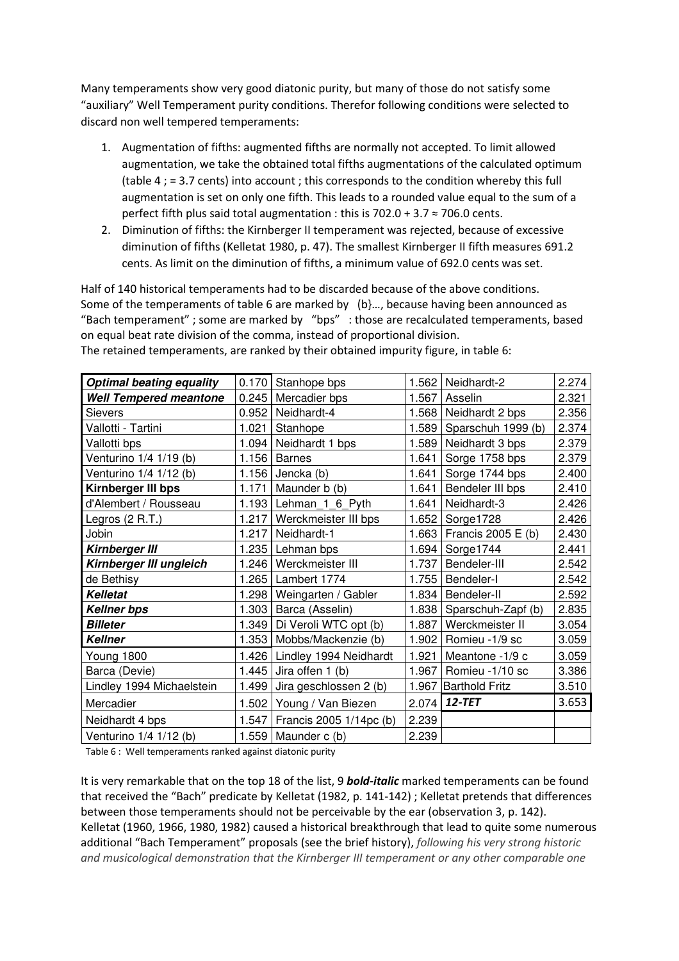Many temperaments show very good diatonic purity, but many of those do not satisfy some "auxiliary" Well Temperament purity conditions. Therefor following conditions were selected to discard non well tempered temperaments:

- 1. Augmentation of fifths: augmented fifths are normally not accepted. To limit allowed augmentation, we take the obtained total fifths augmentations of the calculated optimum (table 4 ; = 3.7 cents) into account ; this corresponds to the condition whereby this full augmentation is set on only one fifth. This leads to a rounded value equal to the sum of a perfect fifth plus said total augmentation : this is  $702.0 + 3.7 \approx 706.0$  cents.
- 2. Diminution of fifths: the Kirnberger II temperament was rejected, because of excessive diminution of fifths (Kelletat 1980, p. 47). The smallest Kirnberger II fifth measures 691.2 cents. As limit on the diminution of fifths, a minimum value of 692.0 cents was set.

Half of 140 historical temperaments had to be discarded because of the above conditions. Some of the temperaments of table 6 are marked by (b}…, because having been announced as "Bach temperament" ; some are marked by "bps" : those are recalculated temperaments, based on equal beat rate division of the comma, instead of proportional division. The retained temperaments, are ranked by their obtained impurity figure, in table 6:

| <b>Optimal beating equality</b> | 0.170 | Stanhope bps            |       | 1.562   Neidhardt-2        | 2.274 |
|---------------------------------|-------|-------------------------|-------|----------------------------|-------|
| <b>Well Tempered meantone</b>   |       | 0.245 Mercadier bps     | 1.567 | Asselin                    | 2.321 |
| <b>Sievers</b>                  | 0.952 | Neidhardt-4             | 1.568 | Neidhardt 2 bps            | 2.356 |
| Vallotti - Tartini              |       | 1.021 Stanhope          |       | 1.589   Sparschuh 1999 (b) | 2.374 |
| Vallotti bps                    | 1.094 | Neidhardt 1 bps         | 1.589 | Neidhardt 3 bps            | 2.379 |
| Venturino 1/4 1/19 (b)          |       | 1.156 Barnes            | 1.641 | Sorge 1758 bps             | 2.379 |
| Venturino 1/4 1/12 (b)          |       | 1.156 Jencka $(b)$      | 1.641 | Sorge 1744 bps             | 2.400 |
| Kirnberger III bps              | 1.171 | Maunder b (b)           | 1.641 | Bendeler III bps           | 2.410 |
| d'Alembert / Rousseau           |       | 1.193 Lehman_1_6_Pyth   | 1.641 | Neidhardt-3                | 2.426 |
| Legros $(2 R.T.)$               | 1.217 | Werckmeister III bps    | 1.652 | Sorge1728                  | 2.426 |
| Jobin                           | 1.217 | Neidhardt-1             |       | 1.663   Francis 2005 E (b) | 2.430 |
| <b>Kirnberger III</b>           |       | 1.235 Lehman bps        | 1.694 | Sorge1744                  | 2.441 |
| Kirnberger III ungleich         |       | 1.246 Werckmeister III  | 1.737 | Bendeler-III               | 2.542 |
| de Bethisy                      |       | 1.265 Lambert 1774      | 1.755 | Bendeler-I                 | 2.542 |
| <b>Kelletat</b>                 | 1.298 | Weingarten / Gabler     | 1.834 | Bendeler-II                | 2.592 |
| <b>Kellner bps</b>              | 1.303 | Barca (Asselin)         |       | 1.838   Sparschuh-Zapf (b) | 2.835 |
| <b>Billeter</b>                 | 1.349 | Di Veroli WTC opt (b)   | 1.887 | Werckmeister II            | 3.054 |
| <b>Kellner</b>                  | 1.353 | Mobbs/Mackenzie (b)     | 1.902 | Romieu -1/9 sc             | 3.059 |
| Young 1800                      | 1.426 | Lindley 1994 Neidhardt  | 1.921 | Meantone -1/9 c            | 3.059 |
| Barca (Devie)                   | 1.445 | Jira offen 1 (b)        | 1.967 | Romieu -1/10 sc            | 3.386 |
| Lindley 1994 Michaelstein       | 1.499 | Jira geschlossen 2 (b)  | 1.967 | <b>Barthold Fritz</b>      | 3.510 |
| Mercadier                       | 1.502 | Young / Van Biezen      | 2.074 | $12 - TET$                 | 3.653 |
| Neidhardt 4 bps                 | 1.547 | Francis 2005 1/14pc (b) | 2.239 |                            |       |
| Venturino 1/4 1/12 (b)          | 1.559 | Maunder c (b)           | 2.239 |                            |       |

Table 6 : Well temperaments ranked against diatonic purity

It is very remarkable that on the top 18 of the list, 9 *bold-italic* marked temperaments can be found that received the "Bach" predicate by Kelletat (1982, p. 141-142) ; Kelletat pretends that differences between those temperaments should not be perceivable by the ear (observation 3, p. 142). Kelletat (1960, 1966, 1980, 1982) caused a historical breakthrough that lead to quite some numerous additional "Bach Temperament" proposals (see the brief history), *following his very strong historic and musicological demonstration that the Kirnberger III temperament or any other comparable one*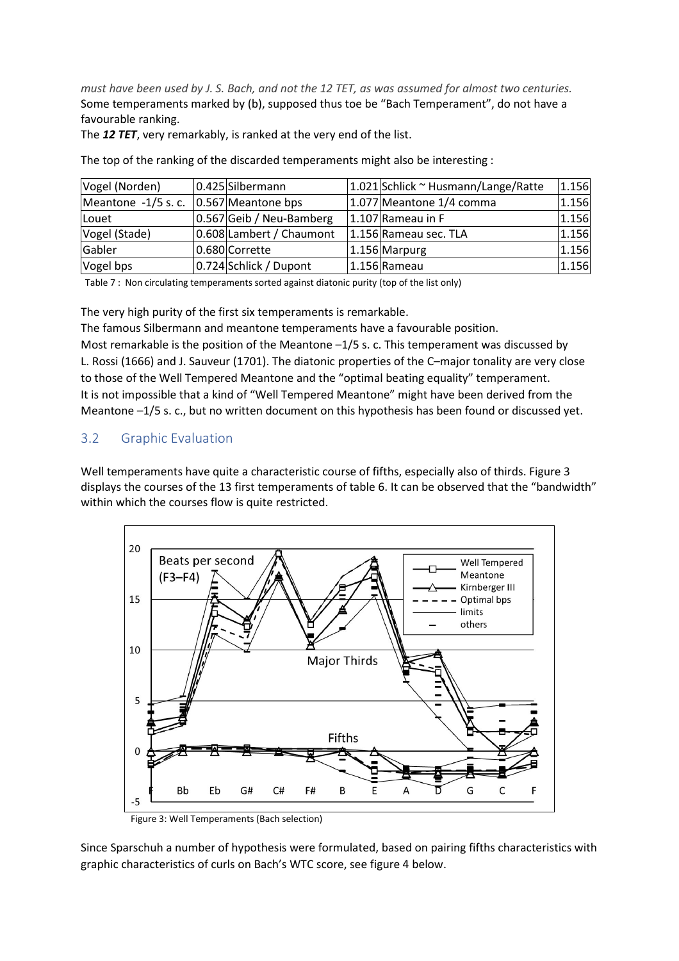*must have been used by J. S. Bach, and not the 12 TET, as was assumed for almost two centuries.* Some temperaments marked by (b), supposed thus toe be "Bach Temperament", do not have a favourable ranking.

The *12 TET*, very remarkably, is ranked at the very end of the list.

| Vogel (Norden)      | 0.425 Silbermann         | 1.021 Schlick ~ Husmann/Lange/Ratte | 1.156 |
|---------------------|--------------------------|-------------------------------------|-------|
| Meantone -1/5 s. c. | 0.567 Meantone bps       | 1.077 Meantone 1/4 comma            | 1.156 |
| Louet               | 0.567 Geib / Neu-Bamberg | 1.107 Rameau in F                   | 1.156 |
| Vogel (Stade)       | 0.608 Lambert / Chaumont | 1.156 Rameau sec. TLA               | 1.156 |
| Gabler              | 0.680 Corrette           | 1.156 Marpurg                       | 1.156 |
| Vogel bps           | 0.724 Schlick / Dupont   | 1.156 Rameau                        | 1.156 |

The top of the ranking of the discarded temperaments might also be interesting :

Table 7 : Non circulating temperaments sorted against diatonic purity (top of the list only)

The very high purity of the first six temperaments is remarkable.

The famous Silbermann and meantone temperaments have a favourable position.

Most remarkable is the position of the Meantone –1/5 s. c. This temperament was discussed by L. Rossi (1666) and J. Sauveur (1701). The diatonic properties of the C–major tonality are very close to those of the Well Tempered Meantone and the "optimal beating equality" temperament. It is not impossible that a kind of "Well Tempered Meantone" might have been derived from the Meantone –1/5 s. c., but no written document on this hypothesis has been found or discussed yet.

### 3.2 Graphic Evaluation

Well temperaments have quite a characteristic course of fifths, especially also of thirds. Figure 3 displays the courses of the 13 first temperaments of table 6. It can be observed that the "bandwidth" within which the courses flow is quite restricted.



Figure 3: Well Temperaments (Bach selection)

Since Sparschuh a number of hypothesis were formulated, based on pairing fifths characteristics with graphic characteristics of curls on Bach's WTC score, see figure 4 below.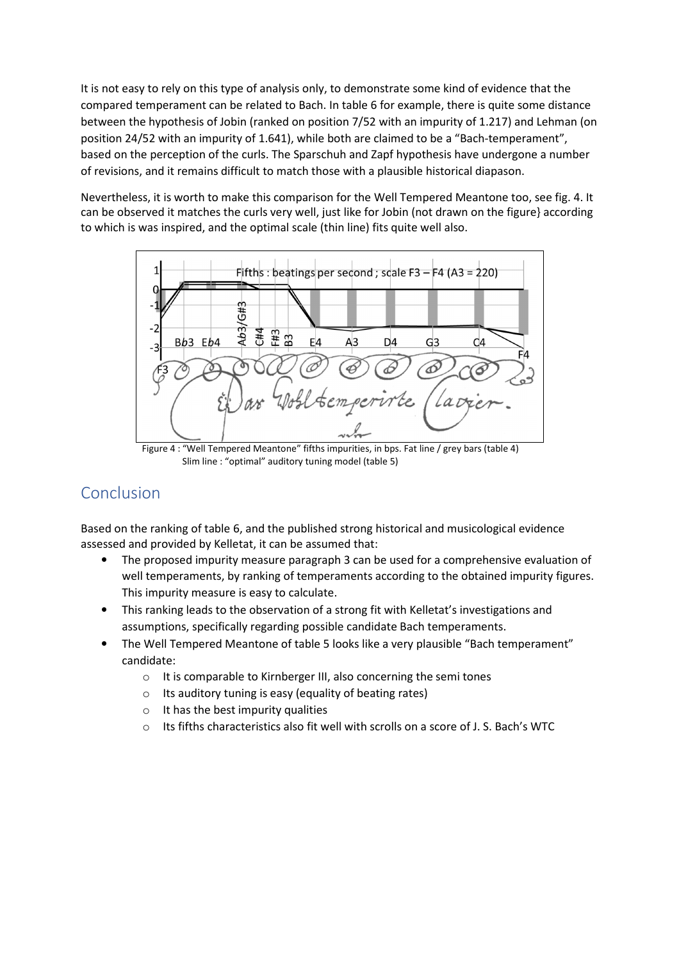It is not easy to rely on this type of analysis only, to demonstrate some kind of evidence that the compared temperament can be related to Bach. In table 6 for example, there is quite some distance between the hypothesis of Jobin (ranked on position 7/52 with an impurity of 1.217) and Lehman (on position 24/52 with an impurity of 1.641), while both are claimed to be a "Bach-temperament", based on the perception of the curls. The Sparschuh and Zapf hypothesis have undergone a number of revisions, and it remains difficult to match those with a plausible historical diapason.

Nevertheless, it is worth to make this comparison for the Well Tempered Meantone too, see fig. 4. It can be observed it matches the curls very well, just like for Jobin (not drawn on the figure} according to which is was inspired, and the optimal scale (thin line) fits quite well also.



Figure 4 : "Well Tempered Meantone" fifths impurities, in bps. Fat line / grey bars (table 4) Slim line : "optimal" auditory tuning model (table 5)

## Conclusion

Based on the ranking of table 6, and the published strong historical and musicological evidence assessed and provided by Kelletat, it can be assumed that:

- The proposed impurity measure paragraph 3 can be used for a comprehensive evaluation of well temperaments, by ranking of temperaments according to the obtained impurity figures. This impurity measure is easy to calculate.
- This ranking leads to the observation of a strong fit with Kelletat's investigations and assumptions, specifically regarding possible candidate Bach temperaments.
- The Well Tempered Meantone of table 5 looks like a very plausible "Bach temperament" candidate:
	- o It is comparable to Kirnberger III, also concerning the semi tones
	- $\circ$  Its auditory tuning is easy (equality of beating rates)
	- $\circ$  It has the best impurity qualities
	- o Its fifths characteristics also fit well with scrolls on a score of J. S. Bach's WTC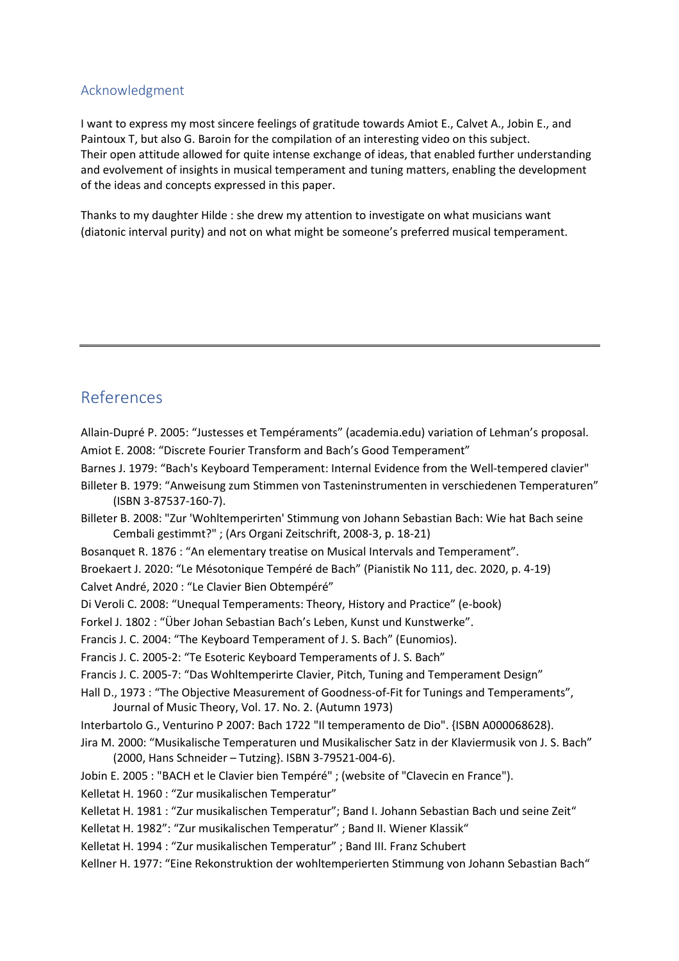### Acknowledgment

I want to express my most sincere feelings of gratitude towards Amiot E., Calvet A., Jobin E., and Paintoux T, but also G. Baroin for the compilation of an interesting video on this subject. Their open attitude allowed for quite intense exchange of ideas, that enabled further understanding and evolvement of insights in musical temperament and tuning matters, enabling the development of the ideas and concepts expressed in this paper.

Thanks to my daughter Hilde : she drew my attention to investigate on what musicians want (diatonic interval purity) and not on what might be someone's preferred musical temperament.

### References

Allain-Dupré P. 2005: "Justesses et Tempéraments" (academia.edu) variation of Lehman's proposal. Amiot E. 2008: "Discrete Fourier Transform and Bach's Good Temperament"

Barnes J. 1979: "Bach's Keyboard Temperament: Internal Evidence from the Well-tempered clavier"

Billeter B. 1979: "Anweisung zum Stimmen von Tasteninstrumenten in verschiedenen Temperaturen" (ISBN 3-87537-160-7).

Billeter B. 2008: "Zur 'Wohltemperirten' Stimmung von Johann Sebastian Bach: Wie hat Bach seine Cembali gestimmt?" ; (Ars Organi Zeitschrift, 2008-3, p. 18-21)

Bosanquet R. 1876 : "An elementary treatise on Musical Intervals and Temperament".

Broekaert J. 2020: "Le Mésotonique Tempéré de Bach" (Pianistik No 111, dec. 2020, p. 4-19)

Calvet André, 2020 : "Le Clavier Bien Obtempéré"

Di Veroli C. 2008: "Unequal Temperaments: Theory, History and Practice" (e-book)

Forkel J. 1802 : "Über Johan Sebastian Bach's Leben, Kunst und Kunstwerke".

Francis J. C. 2004: "The Keyboard Temperament of J. S. Bach" (Eunomios).

Francis J. C. 2005-2: "Te Esoteric Keyboard Temperaments of J. S. Bach"

Francis J. C. 2005-7: "Das Wohltemperirte Clavier, Pitch, Tuning and Temperament Design"

Hall D., 1973 : "The Objective Measurement of Goodness-of-Fit for Tunings and Temperaments", Journal of Music Theory, Vol. 17. No. 2. (Autumn 1973)

Interbartolo G., Venturino P 2007: Bach 1722 "Il temperamento de Dio". {ISBN A000068628).

Jira M. 2000: "Musikalische Temperaturen und Musikalischer Satz in der Klaviermusik von J. S. Bach" (2000, Hans Schneider – Tutzing}. ISBN 3-79521-004-6).

Jobin E. 2005 : "BACH et le Clavier bien Tempéré" ; (website of "Clavecin en France").

Kelletat H. 1960 : "Zur musikalischen Temperatur"

Kelletat H. 1981 : "Zur musikalischen Temperatur"; Band I. Johann Sebastian Bach und seine Zeit"

Kelletat H. 1982": "Zur musikalischen Temperatur" ; Band II. Wiener Klassik"

Kelletat H. 1994 : "Zur musikalischen Temperatur" ; Band III. Franz Schubert

Kellner H. 1977: "Eine Rekonstruktion der wohltemperierten Stimmung von Johann Sebastian Bach"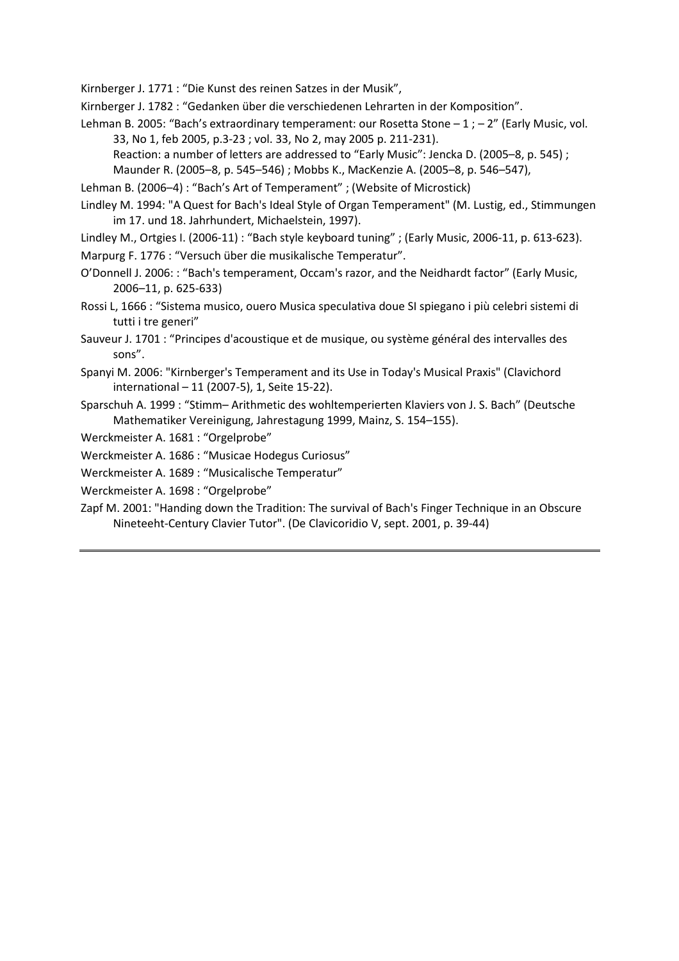Kirnberger J. 1771 : "Die Kunst des reinen Satzes in der Musik",

Kirnberger J. 1782 : "Gedanken über die verschiedenen Lehrarten in der Komposition".

Lehman B. 2005: "Bach's extraordinary temperament: our Rosetta Stone – 1 ; – 2" (Early Music, vol. 33, No 1, feb 2005, p.3-23 ; vol. 33, No 2, may 2005 p. 211-231).

Reaction: a number of letters are addressed to "Early Music": Jencka D. (2005–8, p. 545) ;

Maunder R. (2005–8, p. 545–546) ; Mobbs K., MacKenzie A. (2005–8, p. 546–547),

- Lehman B. (2006–4) : "Bach's Art of Temperament" ; (Website of Microstick)
- Lindley M. 1994: "A Quest for Bach's Ideal Style of Organ Temperament" (M. Lustig, ed., Stimmungen im 17. und 18. Jahrhundert, Michaelstein, 1997).
- Lindley M., Ortgies I. (2006-11) : "Bach style keyboard tuning" ; (Early Music, 2006-11, p. 613-623). Marpurg F. 1776 : "Versuch über die musikalische Temperatur".
- O'Donnell J. 2006: : "Bach's temperament, Occam's razor, and the Neidhardt factor" (Early Music, 2006–11, p. 625-633)
- Rossi L, 1666 : "Sistema musico, ouero Musica speculativa doue SI spiegano i più celebri sistemi di tutti i tre generi"
- Sauveur J. 1701 : "Principes d'acoustique et de musique, ou système général des intervalles des sons".
- Spanyi M. 2006: "Kirnberger's Temperament and its Use in Today's Musical Praxis" (Clavichord international – 11 (2007-5), 1, Seite 15-22).
- Sparschuh A. 1999 : "Stimm– Arithmetic des wohltemperierten Klaviers von J. S. Bach" (Deutsche Mathematiker Vereinigung, Jahrestagung 1999, Mainz, S. 154–155).

Werckmeister A. 1681 : "Orgelprobe"

- Werckmeister A. 1686 : "Musicae Hodegus Curiosus"
- Werckmeister A. 1689 : "Musicalische Temperatur"

Werckmeister A. 1698 : "Orgelprobe"

Zapf M. 2001: "Handing down the Tradition: The survival of Bach's Finger Technique in an Obscure Nineteeht-Century Clavier Tutor". (De Clavicoridio V, sept. 2001, p. 39-44)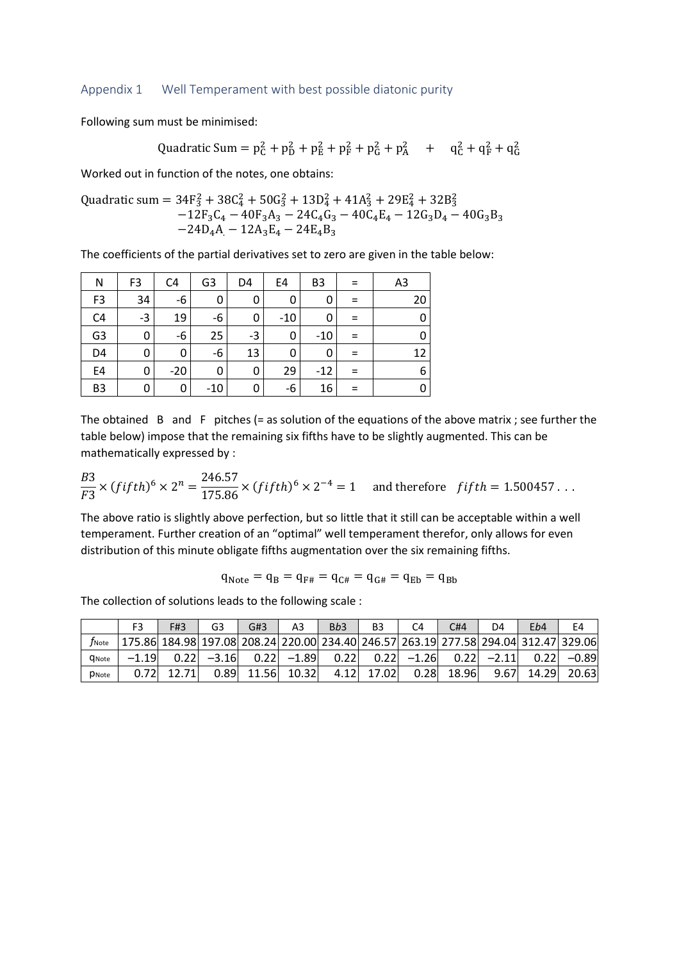#### Appendix 1 Well Temperament with best possible diatonic purity

Following sum must be minimised:

Quadratic Sum = 
$$
p_C^2 + p_D^2 + p_E^2 + p_F^2 + p_G^2 + p_A^2 + q_C^2 + q_F^2 + q_G^2
$$

Worked out in function of the notes, one obtains:

Quadratic sum =  $34F_3^2 + 38C_4^2 + 50G_3^2 + 13D_4^2 + 41A_3^2 + 29E_4^2 + 32B_3^2$  $-12F_3C_4 - 40F_3A_3 - 24C_4G_3 - 40C_4E_4 - 12G_3D_4 - 40G_3B_3$  $-24D_4A - 12A_3E_4 - 24E_4B_3$ 

The coefficients of the partial derivatives set to zero are given in the table below:

| Ν              | F <sub>3</sub> | C4    | G <sub>3</sub> | D4 | E4    | B <sub>3</sub> |     | A <sub>3</sub> |
|----------------|----------------|-------|----------------|----|-------|----------------|-----|----------------|
| F <sub>3</sub> | 34             | -6    | 0              | 0  | 0     | 0              |     | 20             |
| C <sub>4</sub> | $-3$           | 19    | $-6$           | 0  | $-10$ | 0              |     |                |
| G <sub>3</sub> | 0              | -6    | 25             | -3 | 0     | $-10$          |     |                |
| D <sub>4</sub> | 0              | 0     | -6             | 13 | 0     | 0              | $=$ | 12             |
| E4             | 0              | $-20$ | 0              | 0  | 29    | $-12$          |     | 6              |
| B <sub>3</sub> | 0              | 0     | $-10$          | 0  | -6    | 16             |     |                |

The obtained  $\,$  B and  $\,$  F  $\,$  pitches (= as solution of the equations of the above matrix ; see further the table below) impose that the remaining six fifths have to be slightly augmented. This can be mathematically expressed by :

$$
\frac{B3}{F3} \times (fifth)^6 \times 2^n = \frac{246.57}{175.86} \times (fifth)^6 \times 2^{-4} = 1
$$
 and therefore  $fifth = 1.500457...$ 

The above ratio is slightly above perfection, but so little that it still can be acceptable within a well temperament. Further creation of an "optimal" well temperament therefor, only allows for even distribution of this minute obligate fifths augmentation over the six remaining fifths.

$$
q_{\text{Note}} = q_{\text{B}} = q_{\text{F#}} = q_{\text{C#}} = q_{\text{G#}} = q_{\text{Eb}} = q_{\text{Bb}}
$$

The collection of solutions leads to the following scale :

|                     | F3                                                                                             | F#3          | G <sub>3</sub> | G#3 | A3 | B <sub>b</sub> 3 | B3 | C <sub>4</sub>                                                                    | C#4 | D4 | Eb4 | E4 |
|---------------------|------------------------------------------------------------------------------------------------|--------------|----------------|-----|----|------------------|----|-----------------------------------------------------------------------------------|-----|----|-----|----|
| $f_{\mathsf{Note}}$ | 175.86  184.98  197.08  208.24  220.00  234.40  246.57  263.19  277.58  294.04  312.47  329.06 |              |                |     |    |                  |    |                                                                                   |     |    |     |    |
| <b>C</b> Note       | $-1.19$                                                                                        |              |                |     |    |                  |    | $0.22$ $-3.16$ $0.22$ $-1.89$ $0.22$ $0.22$ $-1.26$ $0.22$ $-2.11$ $0.22$ $-0.89$ |     |    |     |    |
| <b>D</b> Note       |                                                                                                | $0.72$ 12.71 |                |     |    |                  |    | $0.89$ 11.56 10.32 4.12 17.02 0.28 18.96 9.67 14.29 20.63                         |     |    |     |    |